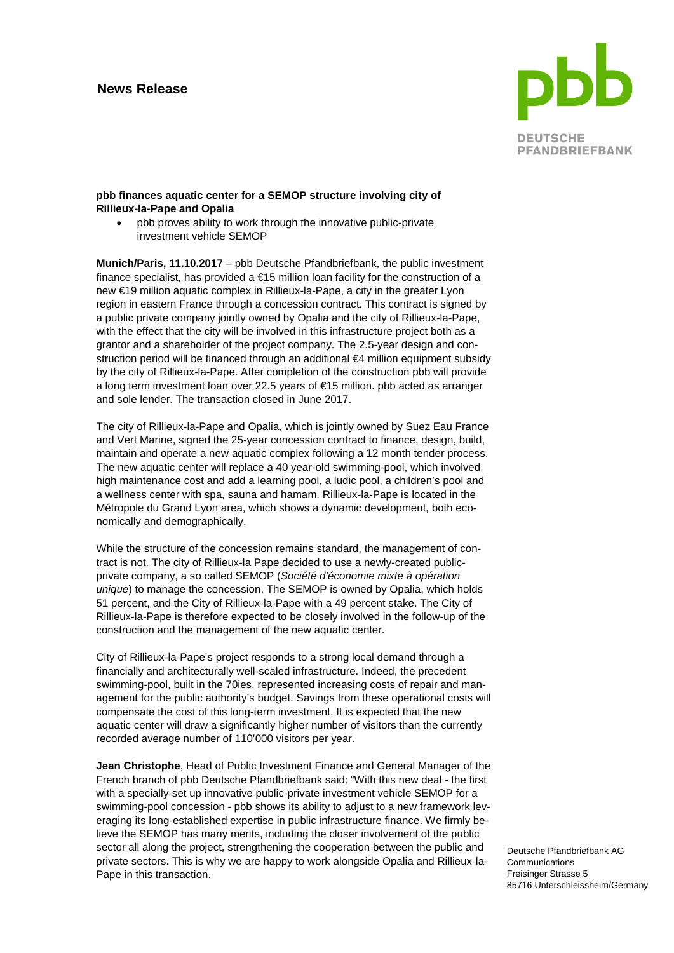## **News Release**



## **pbb finances aquatic center for a SEMOP structure involving city of Rillieux-la-Pape and Opalia**

• pbb proves ability to work through the innovative public-private investment vehicle SEMOP

**Munich/Paris, 11.10.2017** – pbb Deutsche Pfandbriefbank, the public investment finance specialist, has provided a €15 million loan facility for the construction of a new €19 million aquatic complex in Rillieux-la-Pape, a city in the greater Lyon region in eastern France through a concession contract. This contract is signed by a public private company jointly owned by Opalia and the city of Rillieux-la-Pape, with the effect that the city will be involved in this infrastructure project both as a grantor and a shareholder of the project company. The 2.5-year design and construction period will be financed through an additional €4 million equipment subsidy by the city of Rillieux-la-Pape. After completion of the construction pbb will provide a long term investment loan over 22.5 years of €15 million. pbb acted as arranger and sole lender. The transaction closed in June 2017.

The city of Rillieux-la-Pape and Opalia, which is jointly owned by Suez Eau France and Vert Marine, signed the 25-year concession contract to finance, design, build, maintain and operate a new aquatic complex following a 12 month tender process. The new aquatic center will replace a 40 year-old swimming-pool, which involved high maintenance cost and add a learning pool, a ludic pool, a children's pool and a wellness center with spa, sauna and hamam. Rillieux-la-Pape is located in the Métropole du Grand Lyon area, which shows a dynamic development, both economically and demographically.

While the structure of the concession remains standard, the management of contract is not. The city of Rillieux-la Pape decided to use a newly-created publicprivate company, a so called SEMOP (*Société d'économie mixte à opération unique*) to manage the concession. The SEMOP is owned by Opalia, which holds 51 percent, and the City of Rillieux-la-Pape with a 49 percent stake. The City of Rillieux-la-Pape is therefore expected to be closely involved in the follow-up of the construction and the management of the new aquatic center.

City of Rillieux-la-Pape's project responds to a strong local demand through a financially and architecturally well-scaled infrastructure. Indeed, the precedent swimming-pool, built in the 70ies, represented increasing costs of repair and management for the public authority's budget. Savings from these operational costs will compensate the cost of this long-term investment. It is expected that the new aquatic center will draw a significantly higher number of visitors than the currently recorded average number of 110'000 visitors per year.

**Jean Christophe**, Head of Public Investment Finance and General Manager of the French branch of pbb Deutsche Pfandbriefbank said: "With this new deal - the first with a specially-set up innovative public-private investment vehicle SEMOP for a swimming-pool concession - pbb shows its ability to adjust to a new framework leveraging its long-established expertise in public infrastructure finance. We firmly believe the SEMOP has many merits, including the closer involvement of the public sector all along the project, strengthening the cooperation between the public and private sectors. This is why we are happy to work alongside Opalia and Rillieux-la-Pape in this transaction.

Deutsche Pfandbriefbank AG Communications Freisinger Strasse 5 85716 Unterschleissheim/Germany